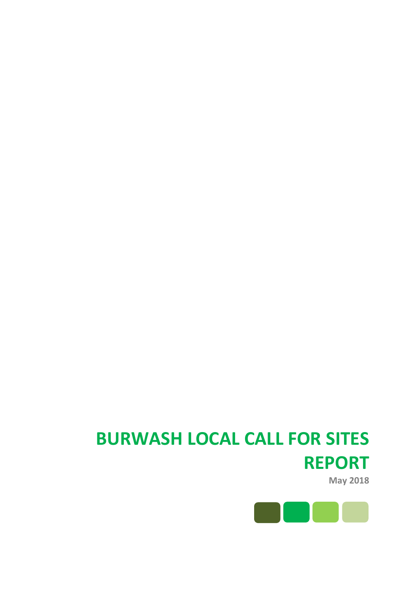# **BURWASH LOCAL CALL FOR SITES REPORT**

**May 2018**

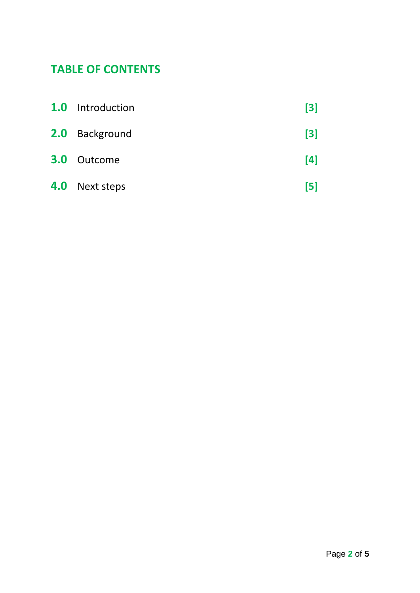# **TABLE OF CONTENTS**

|     | <b>1.0</b> Introduction | $\lceil 3 \rceil$ |
|-----|-------------------------|-------------------|
|     | 2.0 Background          | $\lceil 3 \rceil$ |
| 3.0 | Outcome                 | [4]               |
|     | 4.0 Next steps          | [5]               |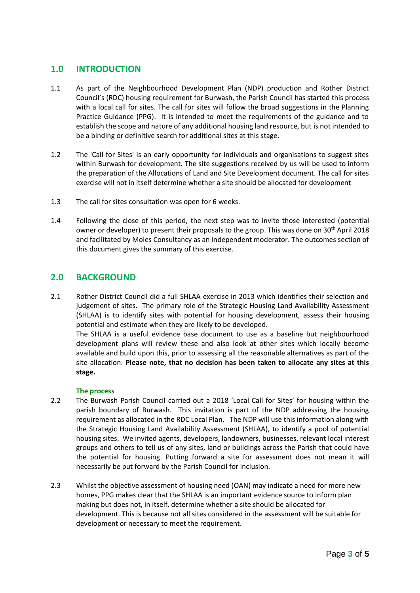# **1.0 INTRODUCTION**

- 1.1 As part of the Neighbourhood Development Plan (NDP) production and Rother District Council's (RDC) housing requirement for Burwash, the Parish Council has started this process with a local call for sites. The call for sites will follow the broad suggestions in the Planning Practice Guidance (PPG). It is intended to meet the requirements of the guidance and to establish the scope and nature of any additional housing land resource, but is not intended to be a binding or definitive search for additional sites at this stage.
- 1.2 The 'Call for Sites' is an early opportunity for individuals and organisations to suggest sites within Burwash for development. The site suggestions received by us will be used to inform the preparation of the Allocations of Land and Site Development document. The call for sites exercise will not in itself determine whether a site should be allocated for development
- 1.3 The call for sites consultation was open for 6 weeks.
- 1.4 Following the close of this period, the next step was to invite those interested (potential owner or developer) to present their proposals to the group. This was done on 30<sup>th</sup> April 2018 and facilitated by Moles Consultancy as an independent moderator. The outcomes section of this document gives the summary of this exercise.

### **2.0 BACKGROUND**

2.1 Rother District Council did a full SHLAA exercise in 2013 which identifies their selection and judgement of sites. The primary role of the Strategic Housing Land Availability Assessment (SHLAA) is to identify sites with potential for housing development, assess their housing potential and estimate when they are likely to be developed.

The SHLAA is a useful evidence base document to use as a baseline but neighbourhood development plans will review these and also look at other sites which locally become available and build upon this, prior to assessing all the reasonable alternatives as part of the site allocation. **Please note, that no decision has been taken to allocate any sites at this stage.**

#### **The process**

- 2.2 The Burwash Parish Council carried out a 2018 'Local Call for Sites' for housing within the parish boundary of Burwash. This invitation is part of the NDP addressing the housing requirement as allocated in the RDC Local Plan. The NDP will use this information along with the Strategic Housing Land Availability Assessment (SHLAA), to identify a pool of potential housing sites. We invited agents, developers, landowners, businesses, relevant local interest groups and others to tell us of any sites, land or buildings across the Parish that could have the potential for housing. Putting forward a site for assessment does not mean it will necessarily be put forward by the Parish Council for inclusion.
- 2.3 Whilst the objective assessment of housing need (OAN) may indicate a need for more new homes, PPG makes clear that the SHLAA is an important evidence source to inform plan making but does not, in itself, determine whether a site should be allocated for development. This is because not all sites considered in the assessment will be suitable for development or necessary to meet the requirement.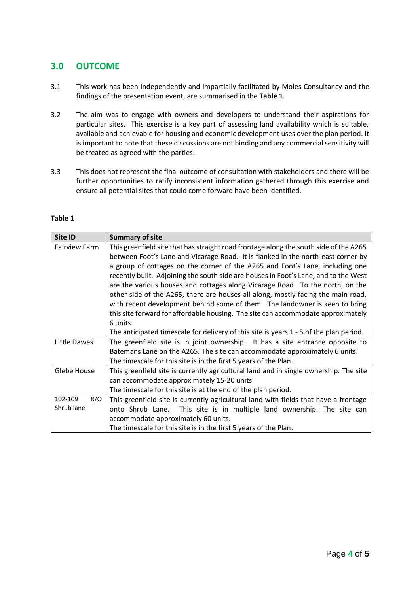# **3.0 OUTCOME**

- 3.1 This work has been independently and impartially facilitated by Moles Consultancy and the findings of the presentation event, are summarised in the **Table 1**.
- 3.2 The aim was to engage with owners and developers to understand their aspirations for particular sites. This exercise is a key part of assessing land availability which is suitable, available and achievable for housing and economic development uses over the plan period. It is important to note that these discussions are not binding and any commercial sensitivity will be treated as agreed with the parties.
- 3.3 This does not represent the final outcome of consultation with stakeholders and there will be further opportunities to ratify inconsistent information gathered through this exercise and ensure all potential sites that could come forward have been identified.

| Site ID              | <b>Summary of site</b>                                                                 |
|----------------------|----------------------------------------------------------------------------------------|
| <b>Fairview Farm</b> | This greenfield site that has straight road frontage along the south side of the A265  |
|                      | between Foot's Lane and Vicarage Road. It is flanked in the north-east corner by       |
|                      | a group of cottages on the corner of the A265 and Foot's Lane, including one           |
|                      | recently built. Adjoining the south side are houses in Foot's Lane, and to the West    |
|                      | are the various houses and cottages along Vicarage Road. To the north, on the          |
|                      | other side of the A265, there are houses all along, mostly facing the main road,       |
|                      | with recent development behind some of them. The landowner is keen to bring            |
|                      | this site forward for affordable housing. The site can accommodate approximately       |
|                      | 6 units.                                                                               |
|                      | The anticipated timescale for delivery of this site is years 1 - 5 of the plan period. |
| Little Dawes         | The greenfield site is in joint ownership. It has a site entrance opposite to          |
|                      | Batemans Lane on the A265. The site can accommodate approximately 6 units.             |
|                      | The timescale for this site is in the first 5 years of the Plan.                       |
| Glebe House          | This greenfield site is currently agricultural land and in single ownership. The site  |
|                      | can accommodate approximately 15-20 units.                                             |
|                      | The timescale for this site is at the end of the plan period.                          |
| R/O<br>102-109       | This greenfield site is currently agricultural land with fields that have a frontage   |
| Shrub lane           | onto Shrub Lane. This site is in multiple land ownership. The site can                 |
|                      | accommodate approximately 60 units.                                                    |
|                      | The timescale for this site is in the first 5 years of the Plan.                       |

#### **Table 1**